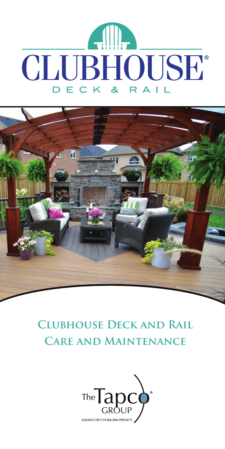



# **Clubhouse Deck and Rail Care and Maintenance**

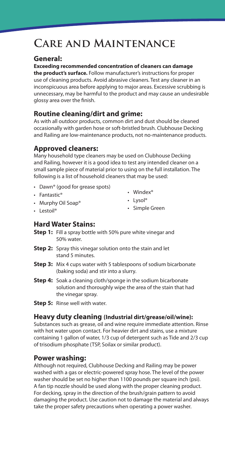# **Care and Maintenance**

## **General:**

#### **Exceeding recommended concentration of cleaners can damage**

**the product's surface.** Follow manufacturer's instructions for proper use of cleaning products. Avoid abrasive cleaners. Test any cleaner in an inconspicuous area before applying to major areas. Excessive scrubbing is unnecessary, may be harmful to the product and may cause an undesirable glossy area over the finish.

# **Routine cleaning/dirt and grime:**

As with all outdoor products, common dirt and dust should be cleaned occasionally with garden hose or soft-bristled brush. Clubhouse Decking and Railing are low-maintenance products, not no-maintenance products.

## **Approved cleaners:**

Many household type cleaners may be used on Clubhouse Decking and Railing, however it is a good idea to test any intended cleaner on a small sample piece of material prior to using on the full installation. The following is a list of household cleaners that may be used:

- Dawn® (good for grease spots)
- Fantastic®
- Murphy Oil Soap®
- Windex®
- Lysol®

• Lestoil<sup>®</sup>

• Simple Green

# **Hard Water Stains:**

- **Step 1:** Fill a spray bottle with 50% pure white vinegar and 50% water.
- **Step 2:** Spray this vinegar solution onto the stain and let stand 5 minutes.
- **Step 3:** Mix 4 cups water with 5 tablespoons of sodium bicarbonate (baking soda) and stir into a slurry.
- **Step 4:** Soak a cleaning cloth/sponge in the sodium bicarbonate solution and thoroughly wipe the area of the stain that had the vinegar spray.
- **Step 5:** Rinse well with water.

#### **Heavy duty cleaning (Industrial dirt/grease/oil/wine):**

Substances such as grease, oil and wine require immediate attention. Rinse with hot water upon contact. For heavier dirt and stains, use a mixture containing 1 gallon of water, 1/3 cup of detergent such as Tide and 2/3 cup of trisodium phosphate (TSP, Soilax or similar product).

#### **Power washing:**

Although not required, Clubhouse Decking and Railing may be power washed with a gas or electric-powered spray hose. The level of the power washer should be set no higher than 1100 pounds per square inch (psi). A fan tip nozzle should be used along with the proper cleaning product. For decking, spray in the direction of the brush/grain pattern to avoid damaging the product. Use caution not to damage the material and always take the proper safety precautions when operating a power washer.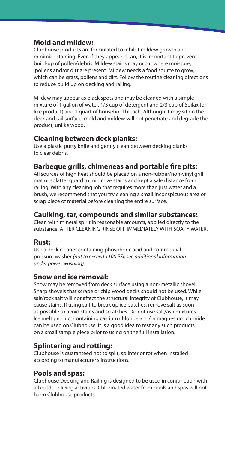# **Mold and mildew:**

Clubhouse products are formulated to inhibit mildew growth and minimize staining. Even if they appear clean, it is important to prevent build-up of pollen/debris. Mildew stains may occur where moisture, pollens and/or dirt are present. Mildew needs a food source to grow, which can be grass, pollens and dirt. Follow the routine cleaning directions to reduce build up on decking and railing.

Mildew may appear as black spots and may be cleaned with a simple mixture of 1 gallon of water, 1/3 cup of detergent and 2/3 cup of Soilax (or like product) and 1 quart of household bleach. Although it may sit on the deck and rail surface, mold and mildew will not penetrate and degrade the product, unlike wood.

## **Cleaning between deck planks:**

Use a plastic putty knife and gently clean between decking planks to clear debris.

## **Barbeque grills, chimeneas and portable fire pits:**

All sources of high heat should be placed on a non-rubber/non-vinyl grill mat or splatter guard to minimize stains and kept a safe distance from railing. With any cleaning job that requires more than just water and a brush, we recommend that you try cleaning a small inconspicuous area or scrap piece of material before cleaning the entire surface.

## **Caulking, tar, compounds and similar substances:**

Clean with mineral spirit in reasonable amounts, applied directly to the substance. AFTER CLEANING RINSE OFF IMMEDIATELY WITH SOAPY WATER.

#### **Rust:**

Use a deck cleaner containing phosphoric acid and commercial pressure washer *(not to exceed 1100 PSI; see additional information under power washing).*

## **Snow and ice removal:**

Snow may be removed from deck surface using a non-metallic shovel. Sharp shovels that scrape or chip wood decks should not be used. While salt/rock salt will not affect the structural integrity of Clubhouse, it may cause stains. If using salt to break up ice patches, remove salt as soon as possible to avoid stains and scratches. Do not use salt/ash mixtures. Ice melt product containing calcium chloride and/or magnesium chloride can be used on Clubhouse. It is a good idea to test any such products on a small sample piece prior to using on the full installation.

#### **Splintering and rotting:**

Clubhouse is guaranteed not to split, splinter or rot when installed according to manufacturer's instructions.

#### **Pools and spas:**

Clubhouse Decking and Railing is designed to be used in conjunction with all outdoor living activities. Chlorinated water from pools and spas will not harm Clubhouse products.